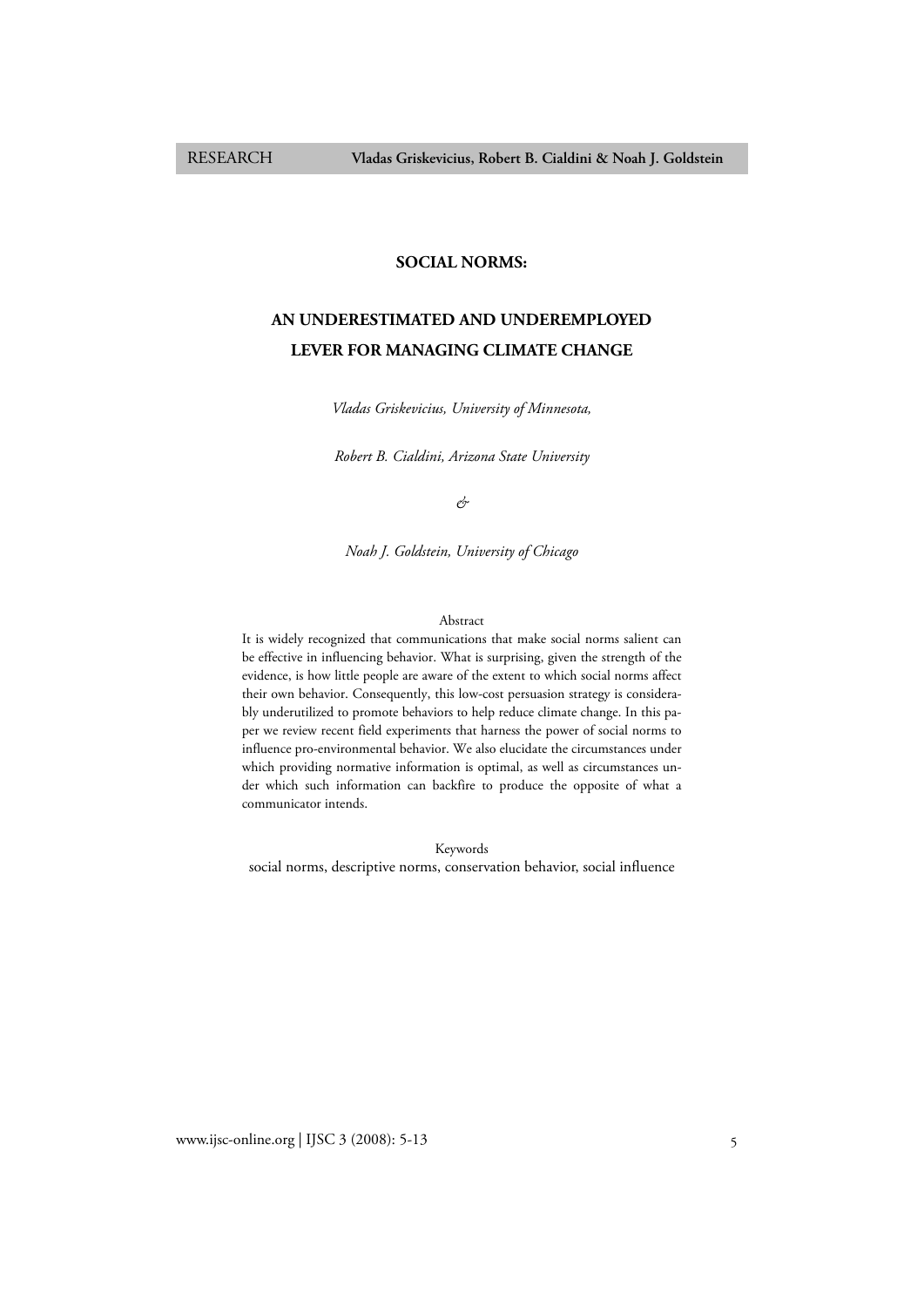# **SOCIAL NORMS:**

# **AN UNDERESTIMATED AND UNDEREMPLOYED LEVER FOR MANAGING CLIMATE CHANGE**

*Vladas Griskevicius, University of Minnesota,* 

*Robert B. Cialdini, Arizona State University* 

*&* 

*Noah J. Goldstein, University of Chicago* 

## Abstract

It is widely recognized that communications that make social norms salient can be effective in influencing behavior. What is surprising, given the strength of the evidence, is how little people are aware of the extent to which social norms affect their own behavior. Consequently, this low-cost persuasion strategy is considerably underutilized to promote behaviors to help reduce climate change. In this paper we review recent field experiments that harness the power of social norms to influence pro-environmental behavior. We also elucidate the circumstances under which providing normative information is optimal, as well as circumstances under which such information can backfire to produce the opposite of what a communicator intends.

Keywords social norms, descriptive norms, conservation behavior, social influence

www.ijsc-online.org | IJSC 3 (2008): 5-13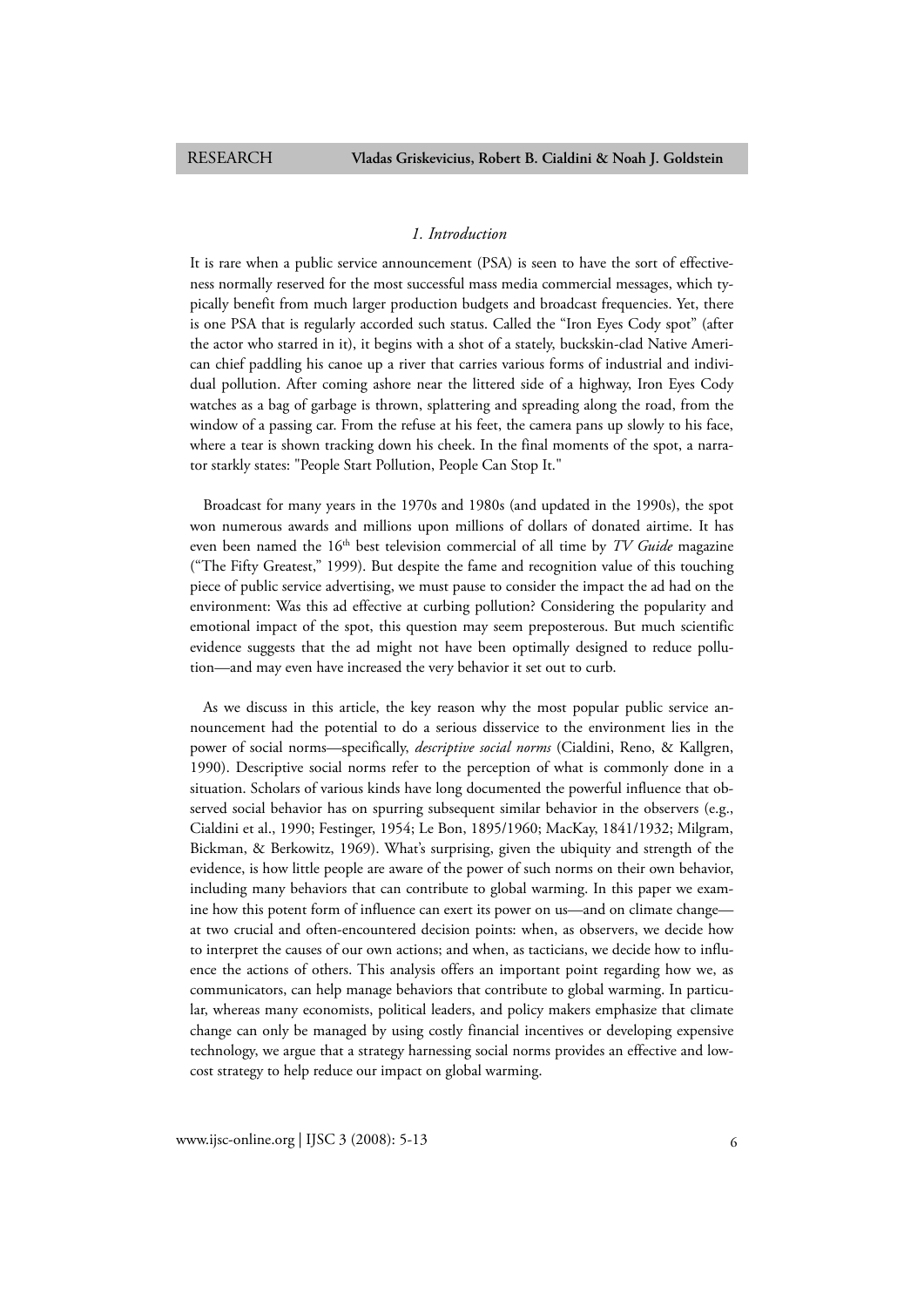# *1. Introduction*

It is rare when a public service announcement (PSA) is seen to have the sort of effectiveness normally reserved for the most successful mass media commercial messages, which typically benefit from much larger production budgets and broadcast frequencies. Yet, there is one PSA that is regularly accorded such status. Called the "Iron Eyes Cody spot" (after the actor who starred in it), it begins with a shot of a stately, buckskin-clad Native American chief paddling his canoe up a river that carries various forms of industrial and individual pollution. After coming ashore near the littered side of a highway, Iron Eyes Cody watches as a bag of garbage is thrown, splattering and spreading along the road, from the window of a passing car. From the refuse at his feet, the camera pans up slowly to his face, where a tear is shown tracking down his cheek. In the final moments of the spot, a narrator starkly states: "People Start Pollution, People Can Stop It."

Broadcast for many years in the 1970s and 1980s (and updated in the 1990s), the spot won numerous awards and millions upon millions of dollars of donated airtime. It has even been named the 16<sup>th</sup> best television commercial of all time by *TV Guide* magazine ("The Fifty Greatest," 1999). But despite the fame and recognition value of this touching piece of public service advertising, we must pause to consider the impact the ad had on the environment: Was this ad effective at curbing pollution? Considering the popularity and emotional impact of the spot, this question may seem preposterous. But much scientific evidence suggests that the ad might not have been optimally designed to reduce pollution—and may even have increased the very behavior it set out to curb.

As we discuss in this article, the key reason why the most popular public service announcement had the potential to do a serious disservice to the environment lies in the power of social norms—specifically, *descriptive social norms* (Cialdini, Reno, & Kallgren, 1990). Descriptive social norms refer to the perception of what is commonly done in a situation. Scholars of various kinds have long documented the powerful influence that observed social behavior has on spurring subsequent similar behavior in the observers (e.g., Cialdini et al., 1990; Festinger, 1954; Le Bon, 1895/1960; MacKay, 1841/1932; Milgram, Bickman, & Berkowitz, 1969). What's surprising, given the ubiquity and strength of the evidence, is how little people are aware of the power of such norms on their own behavior, including many behaviors that can contribute to global warming. In this paper we examine how this potent form of influence can exert its power on us—and on climate change at two crucial and often-encountered decision points: when, as observers, we decide how to interpret the causes of our own actions; and when, as tacticians, we decide how to influence the actions of others. This analysis offers an important point regarding how we, as communicators, can help manage behaviors that contribute to global warming. In particular, whereas many economists, political leaders, and policy makers emphasize that climate change can only be managed by using costly financial incentives or developing expensive technology, we argue that a strategy harnessing social norms provides an effective and lowcost strategy to help reduce our impact on global warming.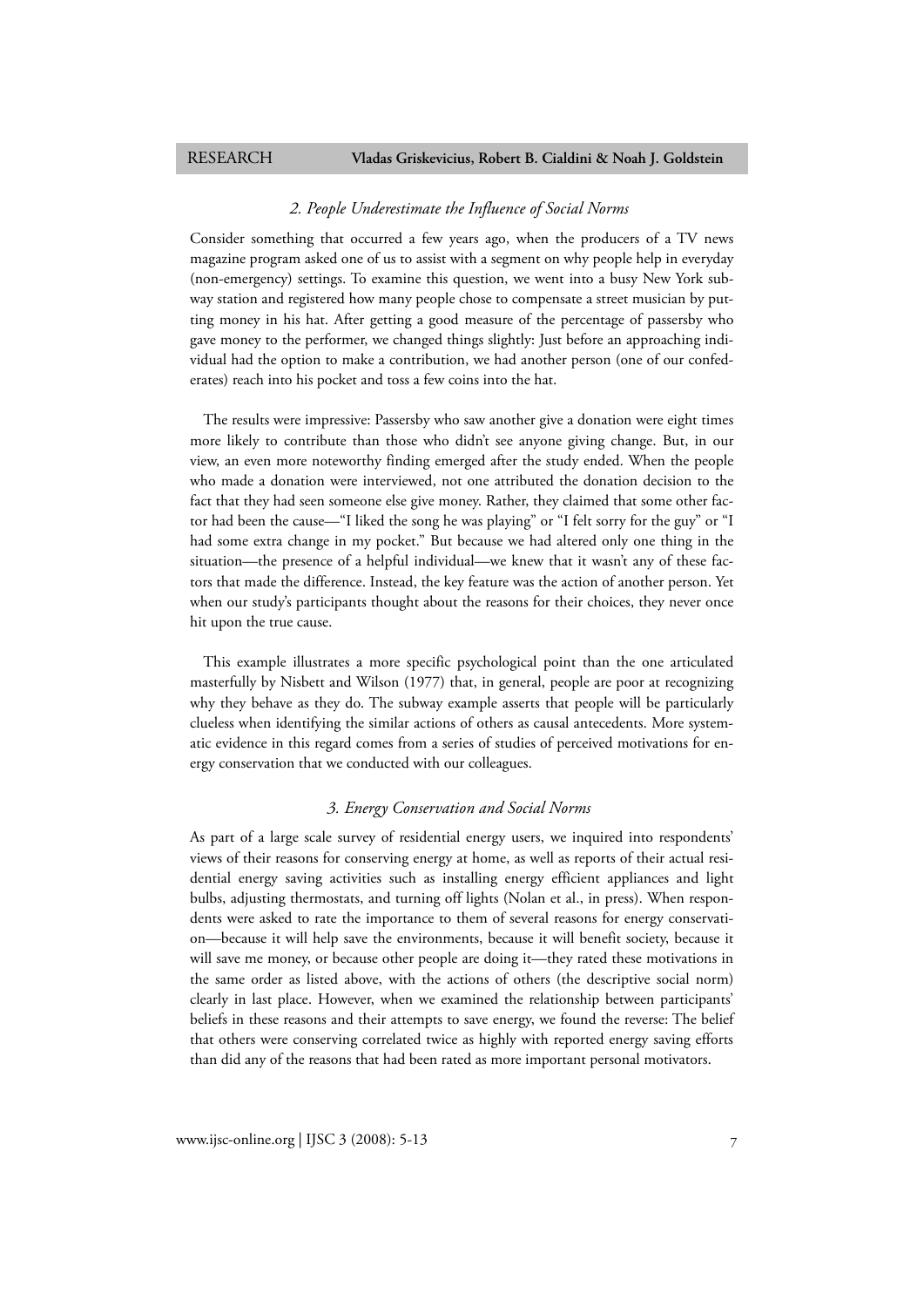### *2. People Underestimate the Influence of Social Norms*

Consider something that occurred a few years ago, when the producers of a TV news magazine program asked one of us to assist with a segment on why people help in everyday (non-emergency) settings. To examine this question, we went into a busy New York subway station and registered how many people chose to compensate a street musician by putting money in his hat. After getting a good measure of the percentage of passersby who gave money to the performer, we changed things slightly: Just before an approaching individual had the option to make a contribution, we had another person (one of our confederates) reach into his pocket and toss a few coins into the hat.

The results were impressive: Passersby who saw another give a donation were eight times more likely to contribute than those who didn't see anyone giving change. But, in our view, an even more noteworthy finding emerged after the study ended. When the people who made a donation were interviewed, not one attributed the donation decision to the fact that they had seen someone else give money. Rather, they claimed that some other factor had been the cause—"I liked the song he was playing" or "I felt sorry for the guy" or "I had some extra change in my pocket." But because we had altered only one thing in the situation—the presence of a helpful individual—we knew that it wasn't any of these factors that made the difference. Instead, the key feature was the action of another person. Yet when our study's participants thought about the reasons for their choices, they never once hit upon the true cause.

This example illustrates a more specific psychological point than the one articulated masterfully by Nisbett and Wilson (1977) that, in general, people are poor at recognizing why they behave as they do. The subway example asserts that people will be particularly clueless when identifying the similar actions of others as causal antecedents. More systematic evidence in this regard comes from a series of studies of perceived motivations for energy conservation that we conducted with our colleagues.

# *3. Energy Conservation and Social Norms*

As part of a large scale survey of residential energy users, we inquired into respondents' views of their reasons for conserving energy at home, as well as reports of their actual residential energy saving activities such as installing energy efficient appliances and light bulbs, adjusting thermostats, and turning off lights (Nolan et al., in press). When respondents were asked to rate the importance to them of several reasons for energy conservation—because it will help save the environments, because it will benefit society, because it will save me money, or because other people are doing it—they rated these motivations in the same order as listed above, with the actions of others (the descriptive social norm) clearly in last place. However, when we examined the relationship between participants' beliefs in these reasons and their attempts to save energy, we found the reverse: The belief that others were conserving correlated twice as highly with reported energy saving efforts than did any of the reasons that had been rated as more important personal motivators.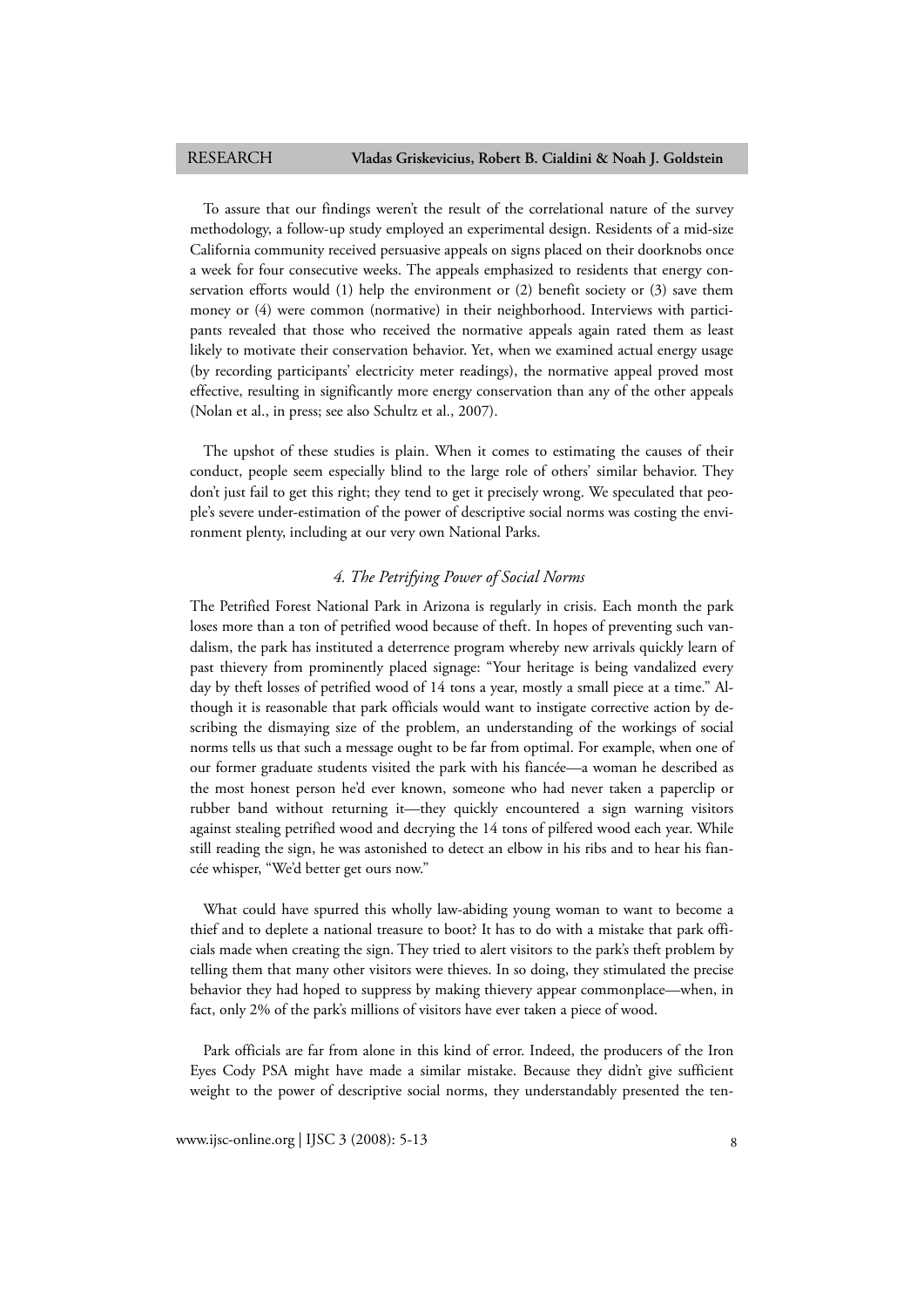To assure that our findings weren't the result of the correlational nature of the survey methodology, a follow-up study employed an experimental design. Residents of a mid-size California community received persuasive appeals on signs placed on their doorknobs once a week for four consecutive weeks. The appeals emphasized to residents that energy conservation efforts would (1) help the environment or (2) benefit society or (3) save them money or (4) were common (normative) in their neighborhood. Interviews with participants revealed that those who received the normative appeals again rated them as least likely to motivate their conservation behavior. Yet, when we examined actual energy usage (by recording participants' electricity meter readings), the normative appeal proved most effective, resulting in significantly more energy conservation than any of the other appeals (Nolan et al., in press; see also Schultz et al., 2007).

The upshot of these studies is plain. When it comes to estimating the causes of their conduct, people seem especially blind to the large role of others' similar behavior. They don't just fail to get this right; they tend to get it precisely wrong. We speculated that people's severe under-estimation of the power of descriptive social norms was costing the environment plenty, including at our very own National Parks.

# *4. The Petrifying Power of Social Norms*

The Petrified Forest National Park in Arizona is regularly in crisis. Each month the park loses more than a ton of petrified wood because of theft. In hopes of preventing such vandalism, the park has instituted a deterrence program whereby new arrivals quickly learn of past thievery from prominently placed signage: "Your heritage is being vandalized every day by theft losses of petrified wood of 14 tons a year, mostly a small piece at a time." Although it is reasonable that park officials would want to instigate corrective action by describing the dismaying size of the problem, an understanding of the workings of social norms tells us that such a message ought to be far from optimal. For example, when one of our former graduate students visited the park with his fiancée—a woman he described as the most honest person he'd ever known, someone who had never taken a paperclip or rubber band without returning it—they quickly encountered a sign warning visitors against stealing petrified wood and decrying the 14 tons of pilfered wood each year. While still reading the sign, he was astonished to detect an elbow in his ribs and to hear his fiancée whisper, "We'd better get ours now."

What could have spurred this wholly law-abiding young woman to want to become a thief and to deplete a national treasure to boot? It has to do with a mistake that park officials made when creating the sign. They tried to alert visitors to the park's theft problem by telling them that many other visitors were thieves. In so doing, they stimulated the precise behavior they had hoped to suppress by making thievery appear commonplace—when, in fact, only 2% of the park's millions of visitors have ever taken a piece of wood.

Park officials are far from alone in this kind of error. Indeed, the producers of the Iron Eyes Cody PSA might have made a similar mistake. Because they didn't give sufficient weight to the power of descriptive social norms, they understandably presented the ten-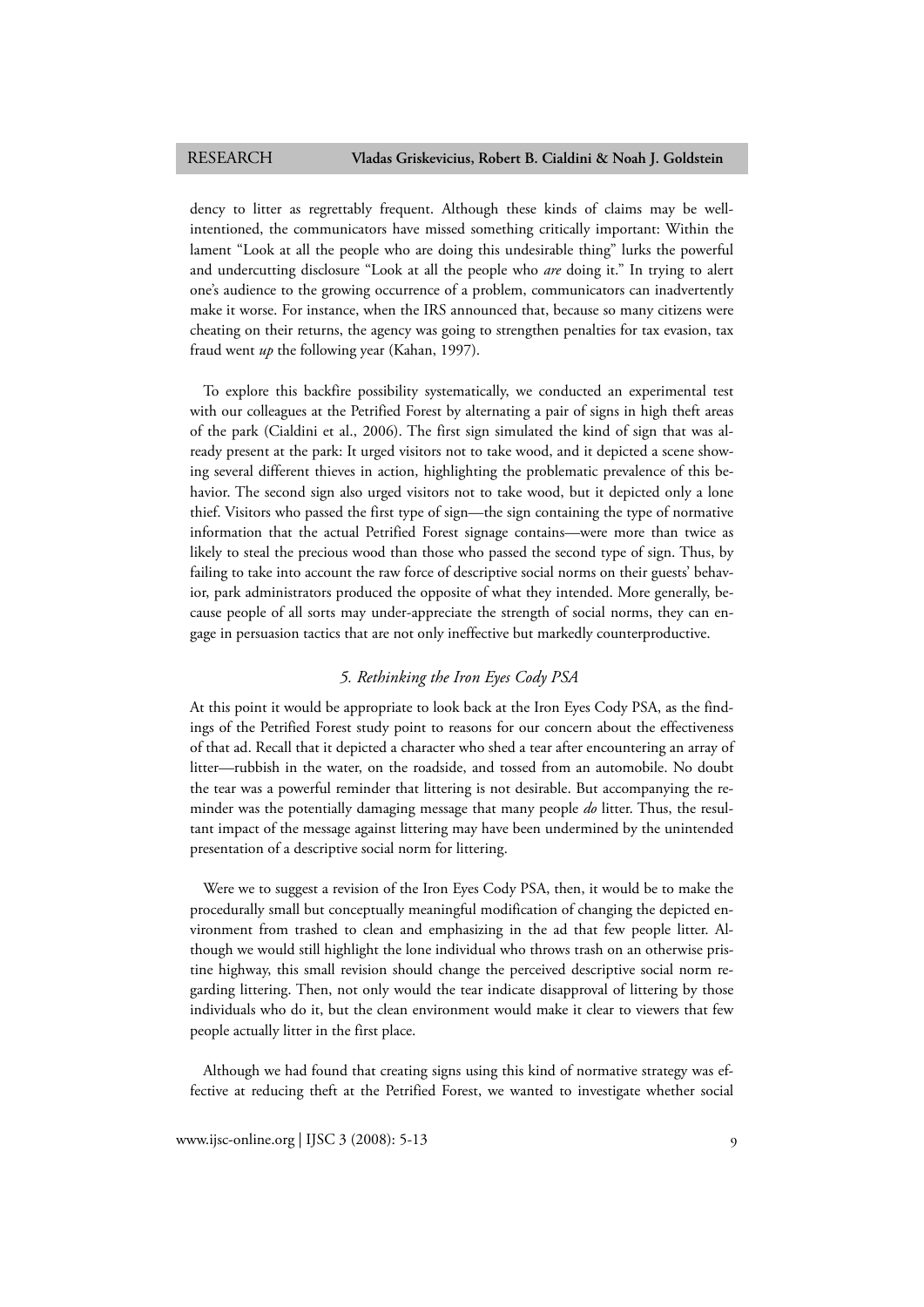dency to litter as regrettably frequent. Although these kinds of claims may be wellintentioned, the communicators have missed something critically important: Within the lament "Look at all the people who are doing this undesirable thing" lurks the powerful and undercutting disclosure "Look at all the people who *are* doing it." In trying to alert one's audience to the growing occurrence of a problem, communicators can inadvertently make it worse. For instance, when the IRS announced that, because so many citizens were cheating on their returns, the agency was going to strengthen penalties for tax evasion, tax fraud went *up* the following year (Kahan, 1997).

To explore this backfire possibility systematically, we conducted an experimental test with our colleagues at the Petrified Forest by alternating a pair of signs in high theft areas of the park (Cialdini et al., 2006). The first sign simulated the kind of sign that was already present at the park: It urged visitors not to take wood, and it depicted a scene showing several different thieves in action, highlighting the problematic prevalence of this behavior. The second sign also urged visitors not to take wood, but it depicted only a lone thief. Visitors who passed the first type of sign—the sign containing the type of normative information that the actual Petrified Forest signage contains—were more than twice as likely to steal the precious wood than those who passed the second type of sign. Thus, by failing to take into account the raw force of descriptive social norms on their guests' behavior, park administrators produced the opposite of what they intended. More generally, because people of all sorts may under-appreciate the strength of social norms, they can engage in persuasion tactics that are not only ineffective but markedly counterproductive.

# *5. Rethinking the Iron Eyes Cody PSA*

At this point it would be appropriate to look back at the Iron Eyes Cody PSA, as the findings of the Petrified Forest study point to reasons for our concern about the effectiveness of that ad. Recall that it depicted a character who shed a tear after encountering an array of litter—rubbish in the water, on the roadside, and tossed from an automobile. No doubt the tear was a powerful reminder that littering is not desirable. But accompanying the reminder was the potentially damaging message that many people *do* litter. Thus, the resultant impact of the message against littering may have been undermined by the unintended presentation of a descriptive social norm for littering.

Were we to suggest a revision of the Iron Eyes Cody PSA, then, it would be to make the procedurally small but conceptually meaningful modification of changing the depicted environment from trashed to clean and emphasizing in the ad that few people litter. Although we would still highlight the lone individual who throws trash on an otherwise pristine highway, this small revision should change the perceived descriptive social norm regarding littering. Then, not only would the tear indicate disapproval of littering by those individuals who do it, but the clean environment would make it clear to viewers that few people actually litter in the first place.

Although we had found that creating signs using this kind of normative strategy was effective at reducing theft at the Petrified Forest, we wanted to investigate whether social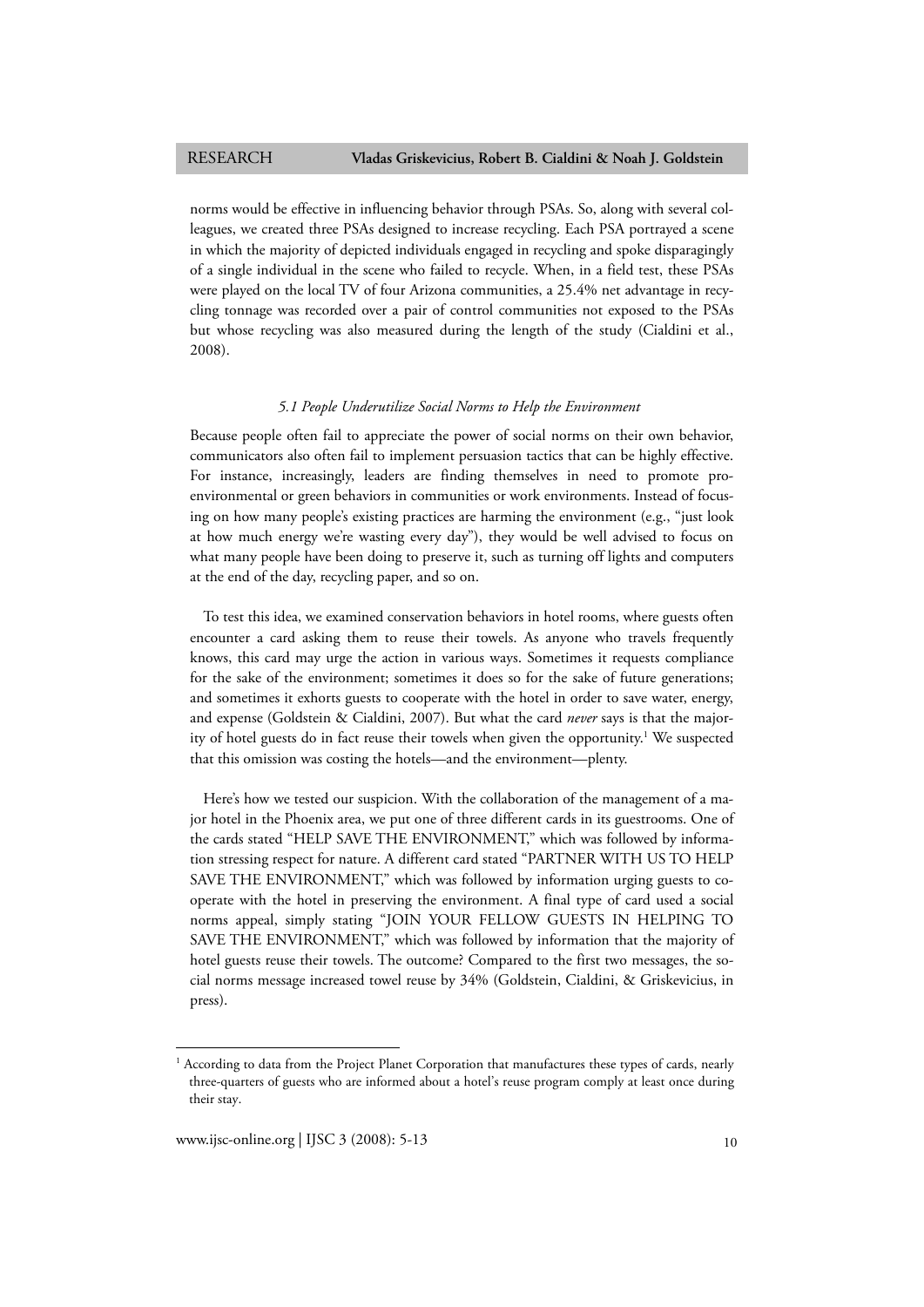norms would be effective in influencing behavior through PSAs. So, along with several colleagues, we created three PSAs designed to increase recycling. Each PSA portrayed a scene in which the majority of depicted individuals engaged in recycling and spoke disparagingly of a single individual in the scene who failed to recycle. When, in a field test, these PSAs were played on the local TV of four Arizona communities, a 25.4% net advantage in recycling tonnage was recorded over a pair of control communities not exposed to the PSAs but whose recycling was also measured during the length of the study (Cialdini et al., 2008).

# *5.1 People Underutilize Social Norms to Help the Environment*

Because people often fail to appreciate the power of social norms on their own behavior, communicators also often fail to implement persuasion tactics that can be highly effective. For instance, increasingly, leaders are finding themselves in need to promote proenvironmental or green behaviors in communities or work environments. Instead of focusing on how many people's existing practices are harming the environment (e.g., "just look at how much energy we're wasting every day"), they would be well advised to focus on what many people have been doing to preserve it, such as turning off lights and computers at the end of the day, recycling paper, and so on.

To test this idea, we examined conservation behaviors in hotel rooms, where guests often encounter a card asking them to reuse their towels. As anyone who travels frequently knows, this card may urge the action in various ways. Sometimes it requests compliance for the sake of the environment; sometimes it does so for the sake of future generations; and sometimes it exhorts guests to cooperate with the hotel in order to save water, energy, and expense (Goldstein & Cialdini, 2007). But what the card *never* says is that the majority of hotel guests do in fact reuse their towels when given the opportunity.<sup>1</sup> We suspected that this omission was costing the hotels—and the environment—plenty.

Here's how we tested our suspicion. With the collaboration of the management of a major hotel in the Phoenix area, we put one of three different cards in its guestrooms. One of the cards stated "HELP SAVE THE ENVIRONMENT," which was followed by information stressing respect for nature. A different card stated "PARTNER WITH US TO HELP SAVE THE ENVIRONMENT," which was followed by information urging guests to cooperate with the hotel in preserving the environment. A final type of card used a social norms appeal, simply stating "JOIN YOUR FELLOW GUESTS IN HELPING TO SAVE THE ENVIRONMENT," which was followed by information that the majority of hotel guests reuse their towels. The outcome? Compared to the first two messages, the social norms message increased towel reuse by 34% (Goldstein, Cialdini, & Griskevicius, in press).

1

<sup>1</sup> According to data from the Project Planet Corporation that manufactures these types of cards, nearly three-quarters of guests who are informed about a hotel's reuse program comply at least once during their stay.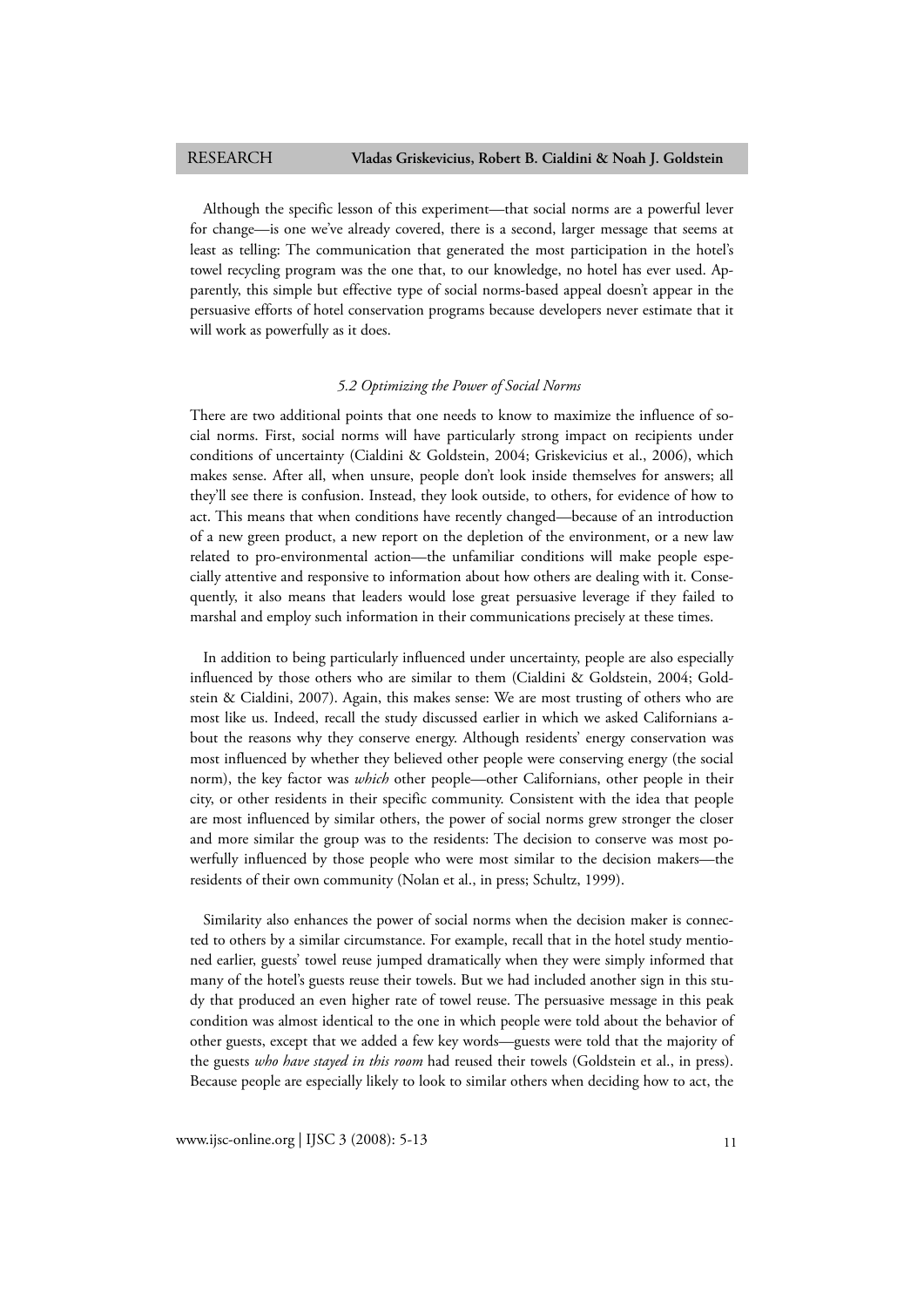Although the specific lesson of this experiment—that social norms are a powerful lever for change—is one we've already covered, there is a second, larger message that seems at least as telling: The communication that generated the most participation in the hotel's towel recycling program was the one that, to our knowledge, no hotel has ever used. Apparently, this simple but effective type of social norms-based appeal doesn't appear in the persuasive efforts of hotel conservation programs because developers never estimate that it will work as powerfully as it does.

### *5.2 Optimizing the Power of Social Norms*

There are two additional points that one needs to know to maximize the influence of social norms. First, social norms will have particularly strong impact on recipients under conditions of uncertainty (Cialdini & Goldstein, 2004; Griskevicius et al., 2006), which makes sense. After all, when unsure, people don't look inside themselves for answers; all they'll see there is confusion. Instead, they look outside, to others, for evidence of how to act. This means that when conditions have recently changed—because of an introduction of a new green product, a new report on the depletion of the environment, or a new law related to pro-environmental action—the unfamiliar conditions will make people especially attentive and responsive to information about how others are dealing with it. Consequently, it also means that leaders would lose great persuasive leverage if they failed to marshal and employ such information in their communications precisely at these times.

In addition to being particularly influenced under uncertainty, people are also especially influenced by those others who are similar to them (Cialdini & Goldstein, 2004; Goldstein & Cialdini, 2007). Again, this makes sense: We are most trusting of others who are most like us. Indeed, recall the study discussed earlier in which we asked Californians about the reasons why they conserve energy. Although residents' energy conservation was most influenced by whether they believed other people were conserving energy (the social norm), the key factor was *which* other people—other Californians, other people in their city, or other residents in their specific community. Consistent with the idea that people are most influenced by similar others, the power of social norms grew stronger the closer and more similar the group was to the residents: The decision to conserve was most powerfully influenced by those people who were most similar to the decision makers—the residents of their own community (Nolan et al., in press; Schultz, 1999).

Similarity also enhances the power of social norms when the decision maker is connected to others by a similar circumstance. For example, recall that in the hotel study mentioned earlier, guests' towel reuse jumped dramatically when they were simply informed that many of the hotel's guests reuse their towels. But we had included another sign in this study that produced an even higher rate of towel reuse. The persuasive message in this peak condition was almost identical to the one in which people were told about the behavior of other guests, except that we added a few key words—guests were told that the majority of the guests *who have stayed in this room* had reused their towels (Goldstein et al., in press). Because people are especially likely to look to similar others when deciding how to act, the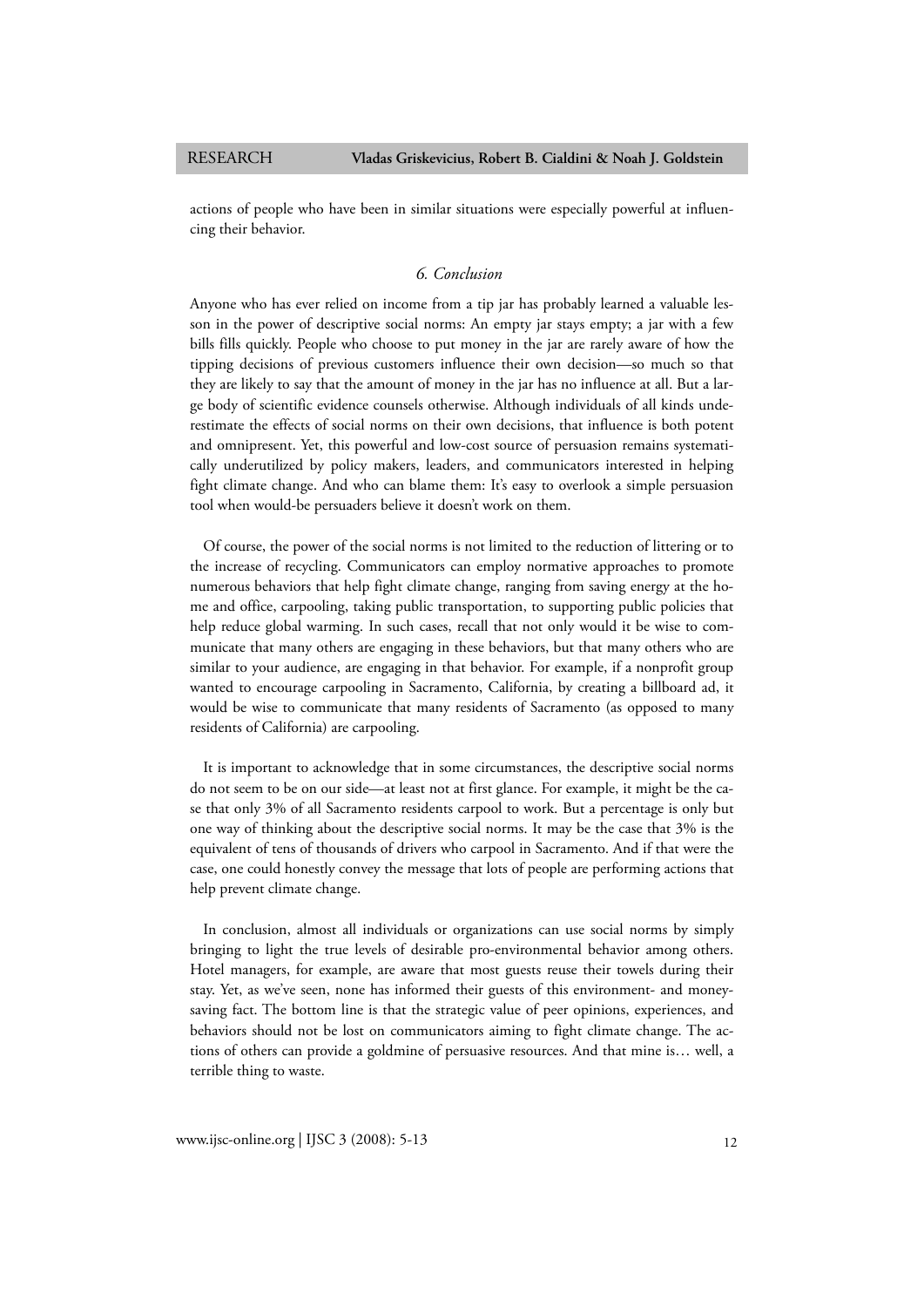actions of people who have been in similar situations were especially powerful at influencing their behavior.

## *6. Conclusion*

Anyone who has ever relied on income from a tip jar has probably learned a valuable lesson in the power of descriptive social norms: An empty jar stays empty; a jar with a few bills fills quickly. People who choose to put money in the jar are rarely aware of how the tipping decisions of previous customers influence their own decision—so much so that they are likely to say that the amount of money in the jar has no influence at all. But a large body of scientific evidence counsels otherwise. Although individuals of all kinds underestimate the effects of social norms on their own decisions, that influence is both potent and omnipresent. Yet, this powerful and low-cost source of persuasion remains systematically underutilized by policy makers, leaders, and communicators interested in helping fight climate change. And who can blame them: It's easy to overlook a simple persuasion tool when would-be persuaders believe it doesn't work on them.

Of course, the power of the social norms is not limited to the reduction of littering or to the increase of recycling. Communicators can employ normative approaches to promote numerous behaviors that help fight climate change, ranging from saving energy at the home and office, carpooling, taking public transportation, to supporting public policies that help reduce global warming. In such cases, recall that not only would it be wise to communicate that many others are engaging in these behaviors, but that many others who are similar to your audience, are engaging in that behavior. For example, if a nonprofit group wanted to encourage carpooling in Sacramento, California, by creating a billboard ad, it would be wise to communicate that many residents of Sacramento (as opposed to many residents of California) are carpooling.

It is important to acknowledge that in some circumstances, the descriptive social norms do not seem to be on our side—at least not at first glance. For example, it might be the case that only 3% of all Sacramento residents carpool to work. But a percentage is only but one way of thinking about the descriptive social norms. It may be the case that 3% is the equivalent of tens of thousands of drivers who carpool in Sacramento. And if that were the case, one could honestly convey the message that lots of people are performing actions that help prevent climate change.

In conclusion, almost all individuals or organizations can use social norms by simply bringing to light the true levels of desirable pro-environmental behavior among others. Hotel managers, for example, are aware that most guests reuse their towels during their stay. Yet, as we've seen, none has informed their guests of this environment- and moneysaving fact. The bottom line is that the strategic value of peer opinions, experiences, and behaviors should not be lost on communicators aiming to fight climate change. The actions of others can provide a goldmine of persuasive resources. And that mine is… well, a terrible thing to waste.